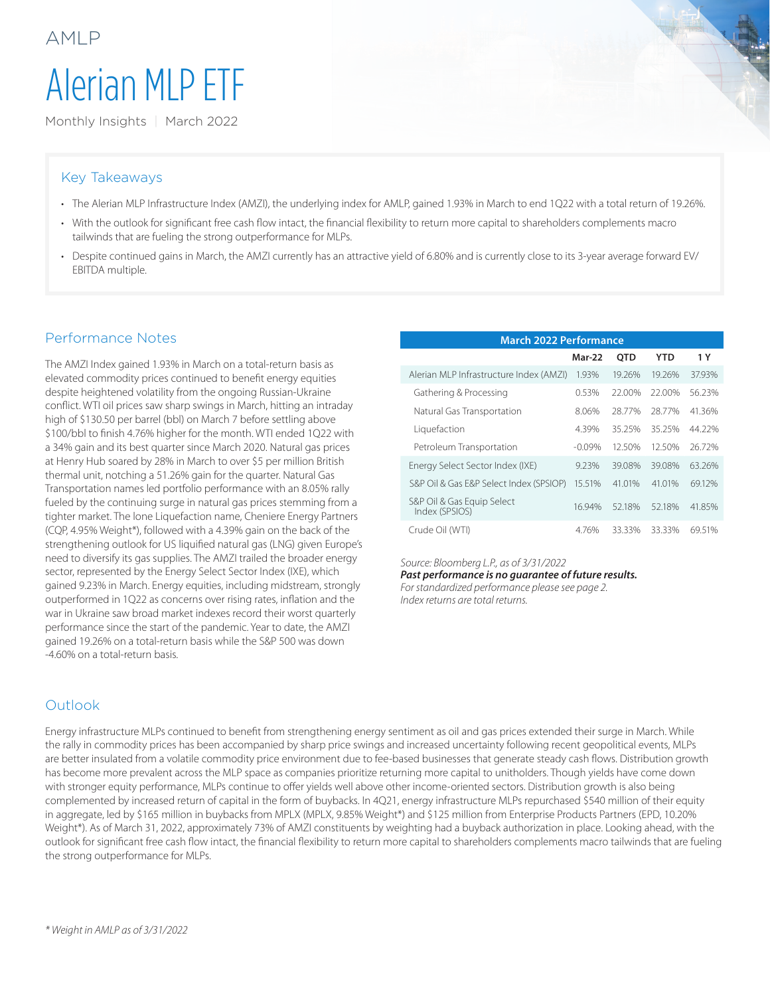# Alerian MLP ETF

Monthly Insights | March 2022

#### Key Takeaways

AMLP

- The Alerian MLP Infrastructure Index (AMZI), the underlying index for AMLP, gained 1.93% in March to end 1Q22 with a total return of 19.26%.
- With the outlook for significant free cash flow intact, the financial flexibility to return more capital to shareholders complements macro tailwinds that are fueling the strong outperformance for MLPs.
- Despite continued gains in March, the AMZI currently has an attractive yield of 6.80% and is currently close to its 3-year average forward EV/ EBITDA multiple.

#### Performance Notes

The AMZI Index gained 1.93% in March on a total-return basis as elevated commodity prices continued to benefit energy equities despite heightened volatility from the ongoing Russian-Ukraine conflict. WTI oil prices saw sharp swings in March, hitting an intraday high of \$130.50 per barrel (bbl) on March 7 before settling above \$100/bbl to finish 4.76% higher for the month. WTI ended 1Q22 with a 34% gain and its best quarter since March 2020. Natural gas prices at Henry Hub soared by 28% in March to over \$5 per million British thermal unit, notching a 51.26% gain for the quarter. Natural Gas Transportation names led portfolio performance with an 8.05% rally fueled by the continuing surge in natural gas prices stemming from a tighter market. The lone Liquefaction name, Cheniere Energy Partners (CQP, 4.95% Weight\*), followed with a 4.39% gain on the back of the strengthening outlook for US liquified natural gas (LNG) given Europe's need to diversify its gas supplies. The AMZI trailed the broader energy sector, represented by the Energy Select Sector Index (IXE), which gained 9.23% in March. Energy equities, including midstream, strongly outperformed in 1Q22 as concerns over rising rates, inflation and the war in Ukraine saw broad market indexes record their worst quarterly performance since the start of the pandemic. Year to date, the AMZI gained 19.26% on a total-return basis while the S&P 500 was down -4.60% on a total-return basis.

| <b>March 2022 Performance</b>                |          |            |        |        |  |  |  |  |
|----------------------------------------------|----------|------------|--------|--------|--|--|--|--|
|                                              | Mar-22   | <b>OTD</b> | YTD    | 1 Y    |  |  |  |  |
| Alerian MLP Infrastructure Index (AMZI)      | 1.93%    | 19.26%     | 19.26% | 37.93% |  |  |  |  |
| Gathering & Processing                       | 0.53%    | 22.00%     | 22.00% | 56.23% |  |  |  |  |
| Natural Gas Transportation                   | 8.06%    | 28.77%     | 28.77% | 41.36% |  |  |  |  |
| Liquefaction                                 | 4.39%    | 35.25%     | 35.25% | 44.22% |  |  |  |  |
| Petroleum Transportation                     | $-0.09%$ | 12.50%     | 12.50% | 26.72% |  |  |  |  |
| Energy Select Sector Index (IXE)             | 9.23%    | 39.08%     | 39.08% | 63.26% |  |  |  |  |
| S&P Oil & Gas E&P Select Index (SPSIOP)      | 15.51%   | 41.01%     | 41.01% | 69.12% |  |  |  |  |
| S&P Oil & Gas Equip Select<br>Index (SPSIOS) | 16.94%   | 52.18%     | 52.18% | 41.85% |  |  |  |  |
| Crude Oil (WTI)                              | 4.76%    | 33.33%     | 33.33% | 69.51% |  |  |  |  |

#### *Source: Bloomberg L.P., as of 3/31/2022*

*Past performance is no guarantee of future results. For standardized performance please see page 2. Index returns are total returns.*

### **Outlook**

Energy infrastructure MLPs continued to benefit from strengthening energy sentiment as oil and gas prices extended their surge in March. While the rally in commodity prices has been accompanied by sharp price swings and increased uncertainty following recent geopolitical events, MLPs are better insulated from a volatile commodity price environment due to fee-based businesses that generate steady cash flows. Distribution growth has become more prevalent across the MLP space as companies prioritize returning more capital to unitholders. Though yields have come down with stronger equity performance, MLPs continue to offer yields well above other income-oriented sectors. Distribution growth is also being complemented by increased return of capital in the form of buybacks. In 4Q21, energy infrastructure MLPs repurchased \$540 million of their equity in aggregate, led by \$165 million in buybacks from MPLX (MPLX, 9.85% Weight\*) and \$125 million from Enterprise Products Partners (EPD, 10.20% Weight\*). As of March 31, 2022, approximately 73% of AMZI constituents by weighting had a buyback authorization in place. Looking ahead, with the outlook for significant free cash flow intact, the financial flexibility to return more capital to shareholders complements macro tailwinds that are fueling the strong outperformance for MLPs.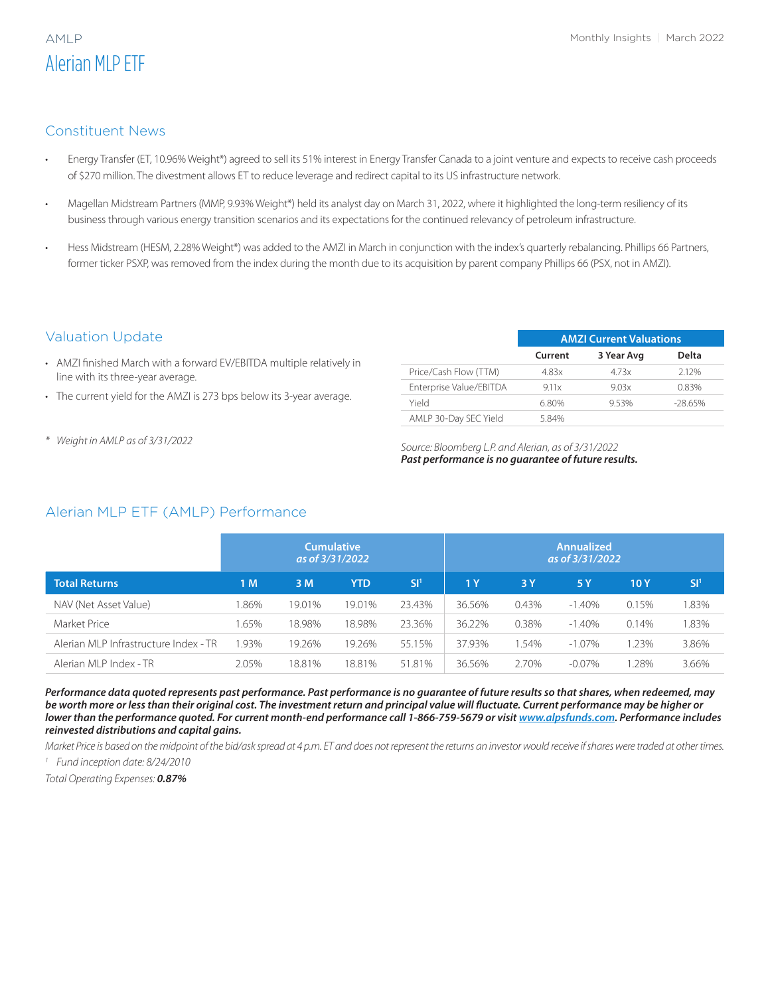## Alerian MLP ETF

#### Constituent News

- Energy Transfer (ET, 10.96% Weight\*) agreed to sell its 51% interest in Energy Transfer Canada to a joint venture and expects to receive cash proceeds of \$270 million. The divestment allows ET to reduce leverage and redirect capital to its US infrastructure network.
- Magellan Midstream Partners (MMP, 9.93% Weight\*) held its analyst day on March 31, 2022, where it highlighted the long-term resiliency of its business through various energy transition scenarios and its expectations for the continued relevancy of petroleum infrastructure.
- Hess Midstream (HESM, 2.28% Weight\*) was added to the AMZI in March in conjunction with the index's quarterly rebalancing. Phillips 66 Partners, former ticker PSXP, was removed from the index during the month due to its acquisition by parent company Phillips 66 (PSX, not in AMZI).

#### Valuation Update

- AMZI finished March with a forward EV/EBITDA multiple relatively in line with its three-year average.
- The current yield for the AMZI is 273 bps below its 3-year average.
- 

|                         | <b>AMZI Current Valuations</b> |            |           |  |  |  |
|-------------------------|--------------------------------|------------|-----------|--|--|--|
|                         | Current                        | 3 Year Avg | Delta     |  |  |  |
| Price/Cash Flow (TTM)   | 4.83x                          | 4.73x      | 212%      |  |  |  |
| Enterprise Value/EBITDA | 9.11x                          | 9.03x      | 0.83%     |  |  |  |
| hleiY                   | 6.80%                          | 953%       | $-28.65%$ |  |  |  |
| AMLP 30-Day SEC Yield   | 584%                           |            |           |  |  |  |

*\* Weight in AMLP as of 3/31/2022 Source: Bloomberg L.P. and Alerian, as of 3/31/2022 Past performance is no guarantee of future results.*

### Alerian MLP ETF (AMLP) Performance

|                                       | <b>Cumulative</b><br>as of 3/31/2022 |        |            | <b>Annualized</b><br>as of 3/31/2022 |        |          |           |       |                 |
|---------------------------------------|--------------------------------------|--------|------------|--------------------------------------|--------|----------|-----------|-------|-----------------|
| <b>Total Returns</b>                  | 1 M                                  | 3 M    | <b>YTD</b> | SI <sup>1</sup>                      | 1 Y    | 3 Y      | 5 Y       | 10 Y  | SI <sup>1</sup> |
| NAV (Net Asset Value)                 | .86%                                 | 19.01% | 19.01%     | 23.43%                               | 36.56% | $0.43\%$ | $-1.40\%$ | 0.15% | .83%            |
| Market Price                          | .65%                                 | 18.98% | 18.98%     | 23.36%                               | 36.22% | 0.38%    | $-1.40\%$ | 0.14% | .83%            |
| Alerian MLP Infrastructure Index - TR | .93%                                 | 19.26% | 19.26%     | 55.15%                               | 37.93% | .54%     | $-1.07\%$ | 1.23% | 3.86%           |
| Alerian MLP Index - TR                | 2.05%                                | 18.81% | 18.81%     | 51.81%                               | 36.56% | 2.70%    | $-0.07\%$ | .28%  | 3.66%           |

*Performance data quoted represents past performance. Past performance is no guarantee of future results so that shares, when redeemed, may be worth more or less than their original cost. The investment return and principal value will fluctuate. Current performance may be higher or lower than the performance quoted. For current month-end performance call 1-866-759-5679 or visit [www.alpsfunds.com](http://www.alpsfunds.com). Performance includes reinvested distributions and capital gains.* 

*Market Price is based on the midpoint of the bid/ask spread at 4 p.m. ET and does not represent the returns an investor would receive if shares were traded at other times. <sup>1</sup> Fund inception date: 8/24/2010*

*Total Operating Expenses: 0.87%*